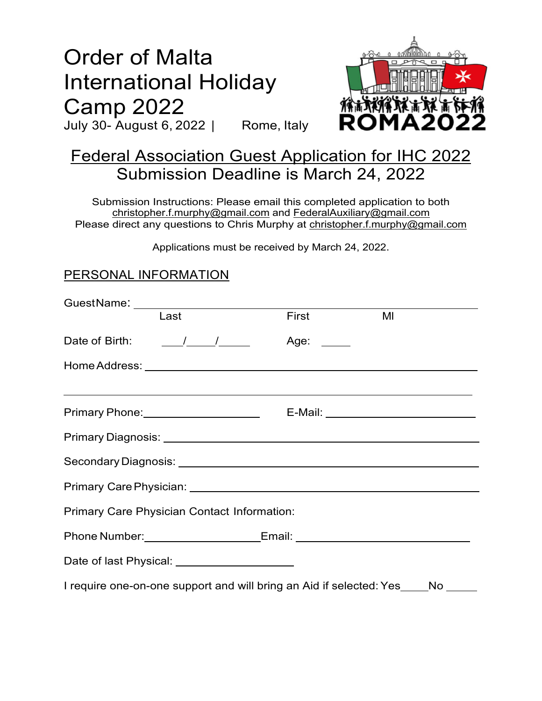# Order of Malta International Holiday Camp 2022

July 30- August 6, 2022 | Rome, Italy



## Federal Association Guest Application for IHC 2022 Submission Deadline is March 24, 2022

Submission Instructions: Please email this completed application to both christopher.f.murphy@gmail.com and FederalAuxiliary@gmail.com Please direct any questions to Chris Murphy at christopher.f.murphy@gmail.com

Applications must be received by March 24, 2022.

#### PERSONAL INFORMATION

| Last                                                                                                                  | <b>First Exercise 1999</b> | MI |  |
|-----------------------------------------------------------------------------------------------------------------------|----------------------------|----|--|
|                                                                                                                       |                            |    |  |
|                                                                                                                       |                            |    |  |
| <u> 1999 - Johann Harry Harry Harry Harry Harry Harry Harry Harry Harry Harry Harry Harry Harry Harry Harry Harry</u> |                            |    |  |
|                                                                                                                       |                            |    |  |
|                                                                                                                       |                            |    |  |
|                                                                                                                       |                            |    |  |
|                                                                                                                       |                            |    |  |
| <b>Primary Care Physician Contact Information:</b>                                                                    |                            |    |  |
|                                                                                                                       |                            |    |  |
|                                                                                                                       |                            |    |  |
| I require one-on-one support and will bring an Aid if selected: Yes____No _____                                       |                            |    |  |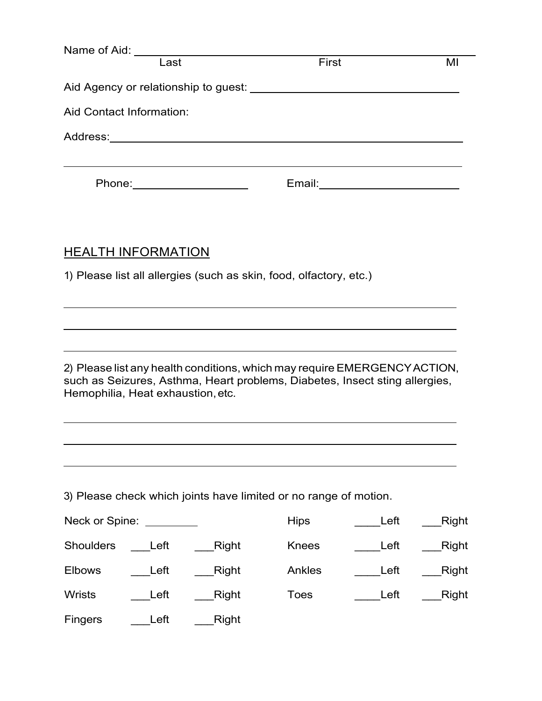|                                   |                                                                                                                                                                                                                                      | Name of Aid: Last                                                                                                                                        | First        |      | MI    |
|-----------------------------------|--------------------------------------------------------------------------------------------------------------------------------------------------------------------------------------------------------------------------------------|----------------------------------------------------------------------------------------------------------------------------------------------------------|--------------|------|-------|
|                                   |                                                                                                                                                                                                                                      |                                                                                                                                                          |              |      |       |
| Aid Contact Information:          |                                                                                                                                                                                                                                      |                                                                                                                                                          |              |      |       |
|                                   |                                                                                                                                                                                                                                      |                                                                                                                                                          |              |      |       |
|                                   |                                                                                                                                                                                                                                      | ,我们也不能在这里的时候,我们也不能在这里的时候,我们也不能会在这里的时候,我们也不能会在这里的时候,我们也不能会在这里的时候,我们也不能会在这里的时候,我们也不<br>Phone: _______________________                                      |              |      |       |
| <b>HEALTH INFORMATION</b>         |                                                                                                                                                                                                                                      | 1) Please list all allergies (such as skin, food, olfactory, etc.)                                                                                       |              |      |       |
| Hemophilia, Heat exhaustion, etc. |                                                                                                                                                                                                                                      | 2) Please list any health conditions, which may require EMERGENCY ACTION,<br>such as Seizures, Asthma, Heart problems, Diabetes, Insect sting allergies, |              |      |       |
|                                   |                                                                                                                                                                                                                                      |                                                                                                                                                          |              |      |       |
|                                   |                                                                                                                                                                                                                                      | 3) Please check which joints have limited or no range of motion.                                                                                         |              |      |       |
| Neck or Spine:                    | <u>and a strong strong part of the strong strong strong strong strong strong strong strong strong strong strong strong strong strong strong strong strong strong strong strong strong strong strong strong strong strong strong </u> |                                                                                                                                                          | <b>Hips</b>  | Left | Right |
| <b>Shoulders</b>                  | Left                                                                                                                                                                                                                                 | Right                                                                                                                                                    | <b>Knees</b> | Left | Right |
| <b>Elbows</b>                     | Left                                                                                                                                                                                                                                 | <b>Right</b>                                                                                                                                             | Ankles       | Left | Right |

Wrists \_\_\_\_Left \_\_\_\_Right Toes \_\_\_\_\_Left \_\_\_Right

Fingers \_\_\_\_Left \_\_\_\_Right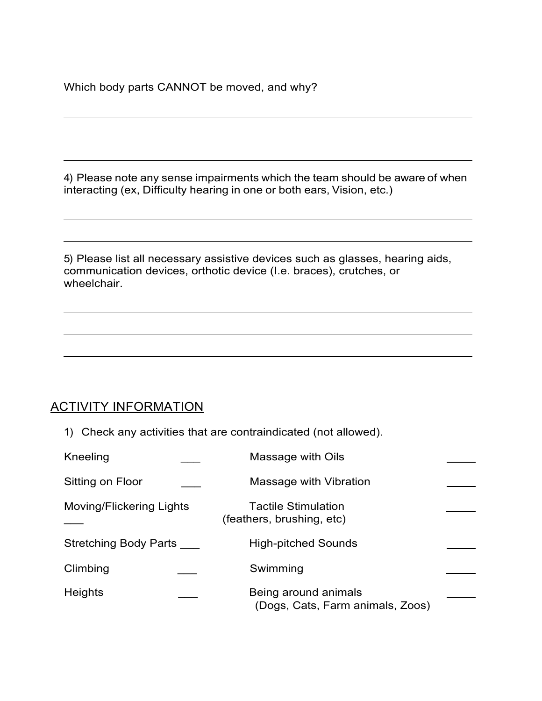Which body parts CANNOT be moved, and why?

4) Please note any sense impairments which the team should be aware of when interacting (ex, Difficulty hearing in one or both ears, Vision, etc.)

5) Please list all necessary assistive devices such as glasses, hearing aids, communication devices, orthotic device (I.e. braces), crutches, or wheelchair.

#### ACTIVITY INFORMATION

1) Check any activities that are contraindicated (not allowed).

| Kneeling                        | Massage with Oils                                        |  |
|---------------------------------|----------------------------------------------------------|--|
| Sitting on Floor                | Massage with Vibration                                   |  |
| <b>Moving/Flickering Lights</b> | <b>Tactile Stimulation</b><br>(feathers, brushing, etc)  |  |
| <b>Stretching Body Parts</b>    | <b>High-pitched Sounds</b>                               |  |
| Climbing                        | Swimming                                                 |  |
| <b>Heights</b>                  | Being around animals<br>(Dogs, Cats, Farm animals, Zoos) |  |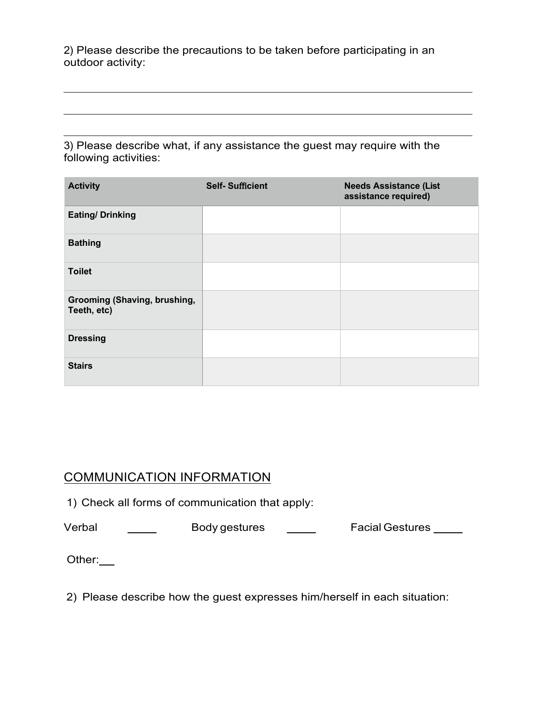2) Please describe the precautions to be taken before participating in an outdoor activity:

3) Please describe what, if any assistance the guest may require with the following activities:

| <b>Activity</b>                                    | <b>Self-Sufficient</b> | <b>Needs Assistance (List</b><br>assistance required) |
|----------------------------------------------------|------------------------|-------------------------------------------------------|
| <b>Eating/ Drinking</b>                            |                        |                                                       |
| <b>Bathing</b>                                     |                        |                                                       |
| <b>Toilet</b>                                      |                        |                                                       |
| <b>Grooming (Shaving, brushing,</b><br>Teeth, etc) |                        |                                                       |
| <b>Dressing</b>                                    |                        |                                                       |
| <b>Stairs</b>                                      |                        |                                                       |

#### COMMUNICATION INFORMATION

1) Check all forms of communication that apply:

Verbal \_\_\_\_\_\_\_ Body gestures \_\_\_\_\_ Facial Gestures \_\_\_\_

Other:

2) Please describe how the guest expresses him/herself in each situation: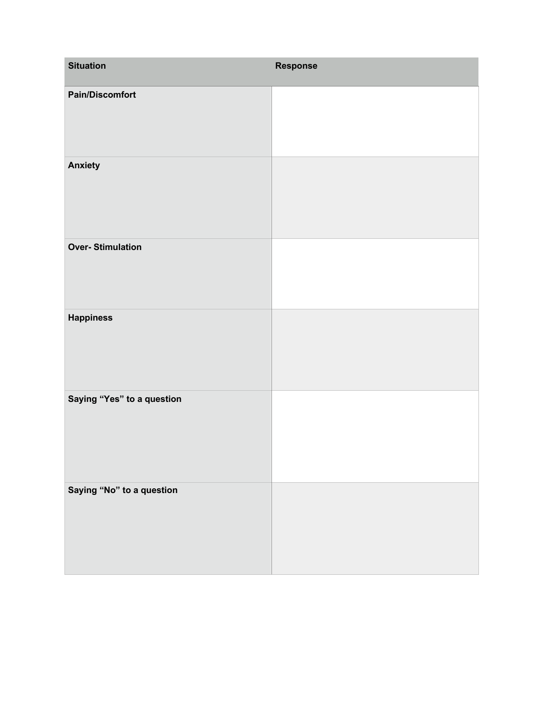| <b>Situation</b>           | <b>Response</b> |
|----------------------------|-----------------|
| <b>Pain/Discomfort</b>     |                 |
| <b>Anxiety</b>             |                 |
| <b>Over-Stimulation</b>    |                 |
| <b>Happiness</b>           |                 |
| Saying "Yes" to a question |                 |
| Saying "No" to a question  |                 |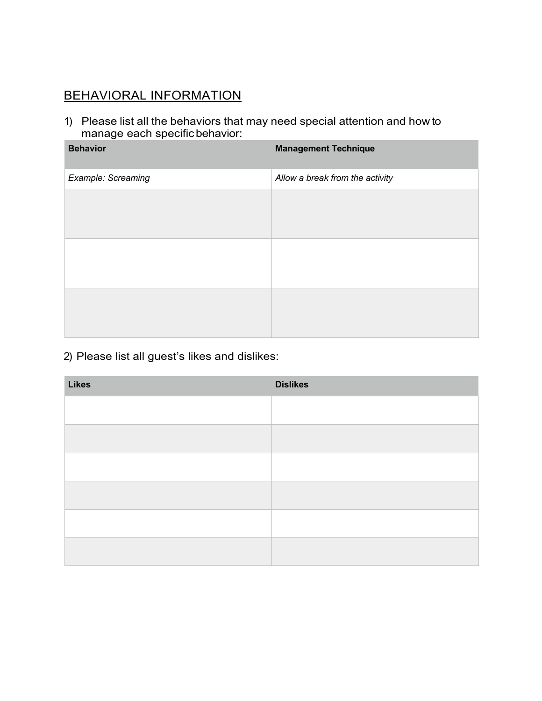### BEHAVIORAL INFORMATION

1) Please list all the behaviors that may need special attention and how to manage each specific behavior:

| <b>Behavior</b>    | <b>Management Technique</b>     |
|--------------------|---------------------------------|
| Example: Screaming | Allow a break from the activity |
|                    |                                 |
|                    |                                 |
|                    |                                 |
|                    |                                 |
|                    |                                 |
|                    |                                 |

#### 2) Please list all guest's likes and dislikes:

| <b>Likes</b> | <b>Dislikes</b> |
|--------------|-----------------|
|              |                 |
|              |                 |
|              |                 |
|              |                 |
|              |                 |
|              |                 |
|              |                 |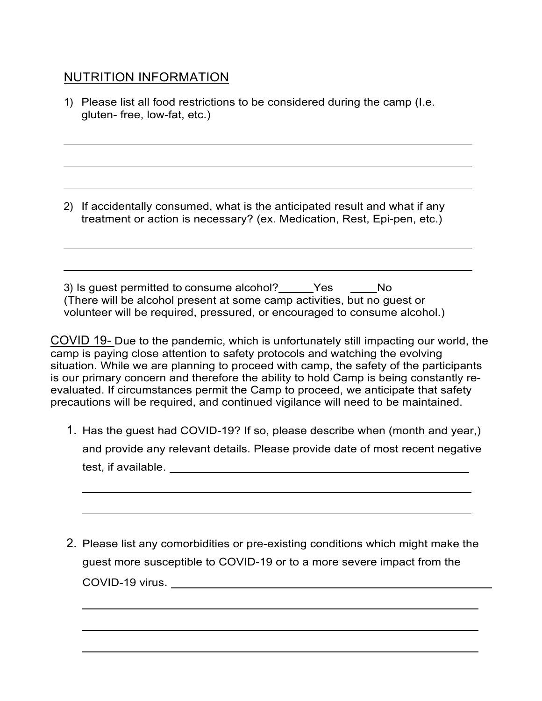#### NUTRITION INFORMATION

1) Please list all food restrictions to be considered during the camp (I.e. gluten- free, low-fat, etc.)

2) If accidentally consumed, what is the anticipated result and what if any treatment or action is necessary? (ex. Medication, Rest, Epi-pen, etc.)

3) Is guest permitted to consume alcohol? Fig. 5.13 No (There will be alcohol present at some camp activities, but no guest or volunteer will be required, pressured, or encouraged to consume alcohol.)

COVID 19- Due to the pandemic, which is unfortunately still impacting our world, the camp is paying close attention to safety protocols and watching the evolving situation. While we are planning to proceed with camp, the safety of the participants is our primary concern and therefore the ability to hold Camp is being constantly reevaluated. If circumstances permit the Camp to proceed, we anticipate that safety precautions will be required, and continued vigilance will need to be maintained.

- 1. Has the guest had COVID-19? If so, please describe when (month and year,) and provide any relevant details. Please provide date of most recent negative test, if available.
- 2. Please list any comorbidities or pre-existing conditions which might make the guest more susceptible to COVID-19 or to a more severe impact from the COVID-19 virus.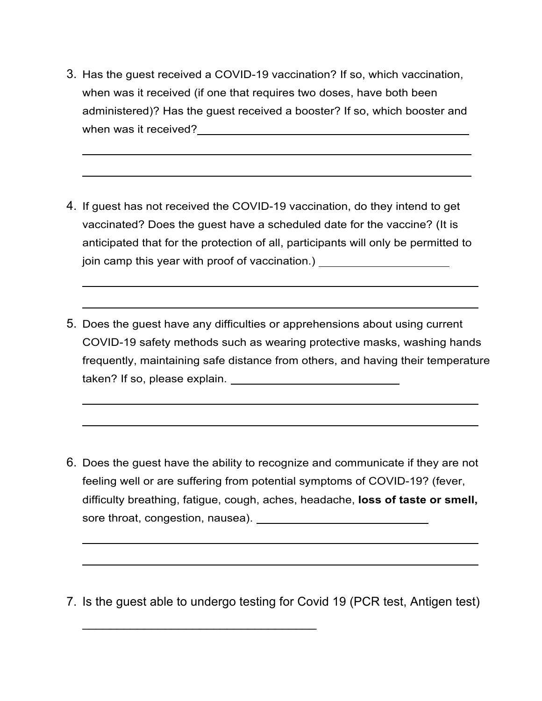3. Has the guest received a COVID-19 vaccination? If so, which vaccination, when was it received (if one that requires two doses, have both been administered)? Has the guest received a booster? If so, which booster and when was it received? We have a set of the set of the set of the set of the set of the set of the set of the set of the set of the set of the set of the set of the set of the set of the set of the set of the set of the set

- 4. If guest has not received the COVID-19 vaccination, do they intend to get vaccinated? Does the guest have a scheduled date for the vaccine? (It is anticipated that for the protection of all, participants will only be permitted to join camp this year with proof of vaccination.) [100]  $\frac{1}{2}$
- 5. Does the guest have any difficulties or apprehensions about using current COVID-19 safety methods such as wearing protective masks, washing hands frequently, maintaining safe distance from others, and having their temperature taken? If so, please explain.

- 6. Does the guest have the ability to recognize and communicate if they are not feeling well or are suffering from potential symptoms of COVID-19? (fever, difficulty breathing, fatigue, cough, aches, headache, **loss of taste or smell,** sore throat, congestion, nausea). **Example 20 and 20 and 20 and 20 and 20 and 20 and 20 and 20 and 20 and 20 and 20 and 20 and 20 and 20 and 20 and 20 and 20 and 20 and 20 and 20 and 20 and 20 and 20 and 20 and 20 and 20 a**
- 7. Is the guest able to undergo testing for Covid 19 (PCR test, Antigen test)

 $\mathcal{L}_\text{max}$  and  $\mathcal{L}_\text{max}$  and  $\mathcal{L}_\text{max}$  and  $\mathcal{L}_\text{max}$